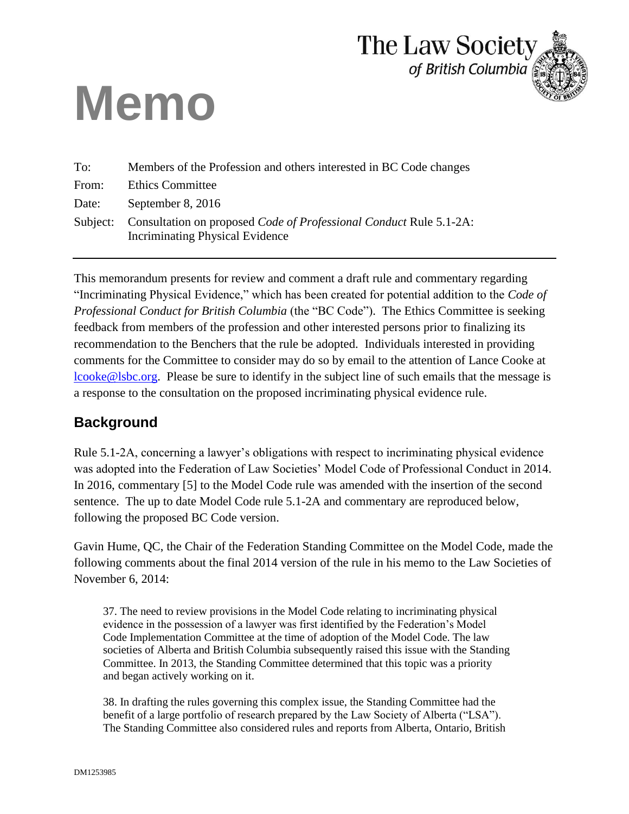# **Memo**



| To:      | Members of the Profession and others interested in BC Code changes                                           |
|----------|--------------------------------------------------------------------------------------------------------------|
| From:    | <b>Ethics Committee</b>                                                                                      |
| Date:    | September 8, 2016                                                                                            |
| Subject: | Consultation on proposed Code of Professional Conduct Rule 5.1-2A:<br><b>Incriminating Physical Evidence</b> |

This memorandum presents for review and comment a draft rule and commentary regarding "Incriminating Physical Evidence," which has been created for potential addition to the *Code of Professional Conduct for British Columbia* (the "BC Code"). The Ethics Committee is seeking feedback from members of the profession and other interested persons prior to finalizing its recommendation to the Benchers that the rule be adopted. Individuals interested in providing comments for the Committee to consider may do so by email to the attention of Lance Cooke at [lcooke@lsbc.org.](mailto:lcooke@lsbc.org) Please be sure to identify in the subject line of such emails that the message is a response to the consultation on the proposed incriminating physical evidence rule.

# **Background**

Rule 5.1-2A, concerning a lawyer's obligations with respect to incriminating physical evidence was adopted into the Federation of Law Societies' Model Code of Professional Conduct in 2014. In 2016, commentary [5] to the Model Code rule was amended with the insertion of the second sentence. The up to date Model Code rule 5.1-2A and commentary are reproduced below, following the proposed BC Code version.

Gavin Hume, QC, the Chair of the Federation Standing Committee on the Model Code, made the following comments about the final 2014 version of the rule in his memo to the Law Societies of November 6, 2014:

37. The need to review provisions in the Model Code relating to incriminating physical evidence in the possession of a lawyer was first identified by the Federation's Model Code Implementation Committee at the time of adoption of the Model Code. The law societies of Alberta and British Columbia subsequently raised this issue with the Standing Committee. In 2013, the Standing Committee determined that this topic was a priority and began actively working on it.

38. In drafting the rules governing this complex issue, the Standing Committee had the benefit of a large portfolio of research prepared by the Law Society of Alberta ("LSA"). The Standing Committee also considered rules and reports from Alberta, Ontario, British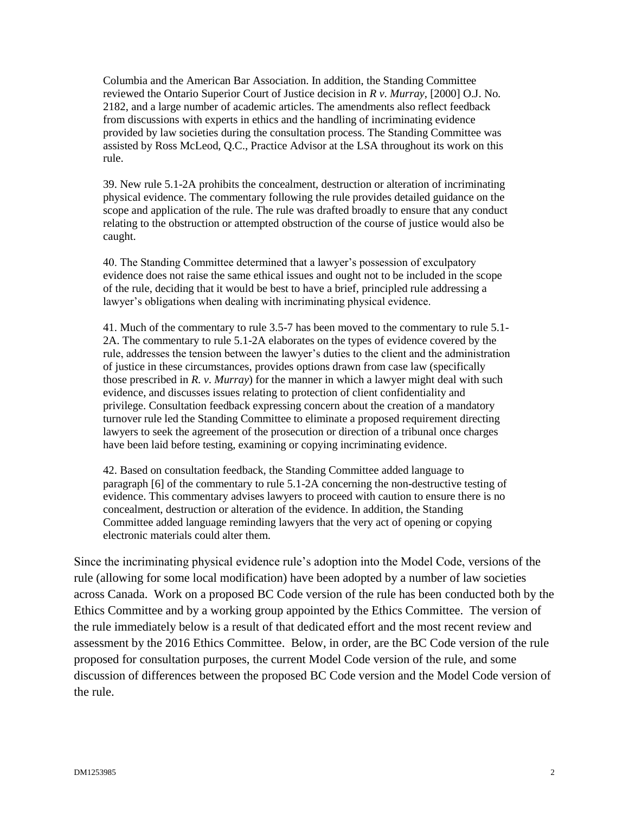Columbia and the American Bar Association. In addition, the Standing Committee reviewed the Ontario Superior Court of Justice decision in *R v. Murray*, [2000] O.J. No. 2182, and a large number of academic articles. The amendments also reflect feedback from discussions with experts in ethics and the handling of incriminating evidence provided by law societies during the consultation process. The Standing Committee was assisted by Ross McLeod, Q.C., Practice Advisor at the LSA throughout its work on this rule.

39. New rule 5.1-2A prohibits the concealment, destruction or alteration of incriminating physical evidence. The commentary following the rule provides detailed guidance on the scope and application of the rule. The rule was drafted broadly to ensure that any conduct relating to the obstruction or attempted obstruction of the course of justice would also be caught.

40. The Standing Committee determined that a lawyer's possession of exculpatory evidence does not raise the same ethical issues and ought not to be included in the scope of the rule, deciding that it would be best to have a brief, principled rule addressing a lawyer's obligations when dealing with incriminating physical evidence.

41. Much of the commentary to rule 3.5-7 has been moved to the commentary to rule 5.1- 2A. The commentary to rule 5.1-2A elaborates on the types of evidence covered by the rule, addresses the tension between the lawyer's duties to the client and the administration of justice in these circumstances, provides options drawn from case law (specifically those prescribed in *R. v. Murray*) for the manner in which a lawyer might deal with such evidence, and discusses issues relating to protection of client confidentiality and privilege. Consultation feedback expressing concern about the creation of a mandatory turnover rule led the Standing Committee to eliminate a proposed requirement directing lawyers to seek the agreement of the prosecution or direction of a tribunal once charges have been laid before testing, examining or copying incriminating evidence.

42. Based on consultation feedback, the Standing Committee added language to paragraph [6] of the commentary to rule 5.1-2A concerning the non-destructive testing of evidence. This commentary advises lawyers to proceed with caution to ensure there is no concealment, destruction or alteration of the evidence. In addition, the Standing Committee added language reminding lawyers that the very act of opening or copying electronic materials could alter them.

Since the incriminating physical evidence rule's adoption into the Model Code, versions of the rule (allowing for some local modification) have been adopted by a number of law societies across Canada. Work on a proposed BC Code version of the rule has been conducted both by the Ethics Committee and by a working group appointed by the Ethics Committee. The version of the rule immediately below is a result of that dedicated effort and the most recent review and assessment by the 2016 Ethics Committee. Below, in order, are the BC Code version of the rule proposed for consultation purposes, the current Model Code version of the rule, and some discussion of differences between the proposed BC Code version and the Model Code version of the rule.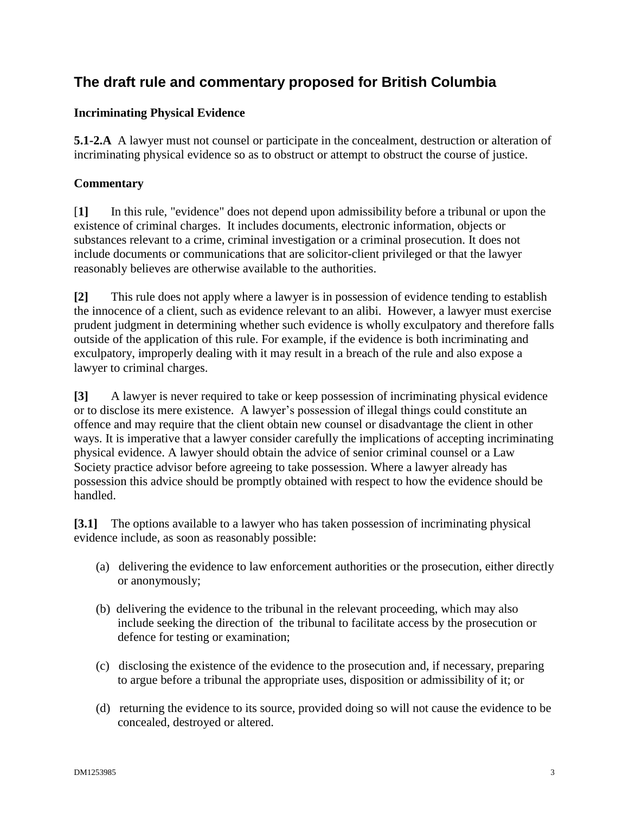# **The draft rule and commentary proposed for British Columbia**

#### **Incriminating Physical Evidence**

**5.1-2.A** A lawyer must not counsel or participate in the concealment, destruction or alteration of incriminating physical evidence so as to obstruct or attempt to obstruct the course of justice.

#### **Commentary**

[**1]** In this rule, "evidence" does not depend upon admissibility before a tribunal or upon the existence of criminal charges. It includes documents, electronic information, objects or substances relevant to a crime, criminal investigation or a criminal prosecution. It does not include documents or communications that are solicitor-client privileged or that the lawyer reasonably believes are otherwise available to the authorities.

**[2]** This rule does not apply where a lawyer is in possession of evidence tending to establish the innocence of a client, such as evidence relevant to an alibi. However, a lawyer must exercise prudent judgment in determining whether such evidence is wholly exculpatory and therefore falls outside of the application of this rule. For example, if the evidence is both incriminating and exculpatory, improperly dealing with it may result in a breach of the rule and also expose a lawyer to criminal charges.

**[3]** A lawyer is never required to take or keep possession of incriminating physical evidence or to disclose its mere existence. A lawyer's possession of illegal things could constitute an offence and may require that the client obtain new counsel or disadvantage the client in other ways. It is imperative that a lawyer consider carefully the implications of accepting incriminating physical evidence. A lawyer should obtain the advice of senior criminal counsel or a Law Society practice advisor before agreeing to take possession. Where a lawyer already has possession this advice should be promptly obtained with respect to how the evidence should be handled.

**[3.1]** The options available to a lawyer who has taken possession of incriminating physical evidence include, as soon as reasonably possible:

- (a) delivering the evidence to law enforcement authorities or the prosecution, either directly or anonymously;
- (b) delivering the evidence to the tribunal in the relevant proceeding, which may also include seeking the direction of the tribunal to facilitate access by the prosecution or defence for testing or examination;
- (c) disclosing the existence of the evidence to the prosecution and, if necessary, preparing to argue before a tribunal the appropriate uses, disposition or admissibility of it; or
- (d) returning the evidence to its source, provided doing so will not cause the evidence to be concealed, destroyed or altered.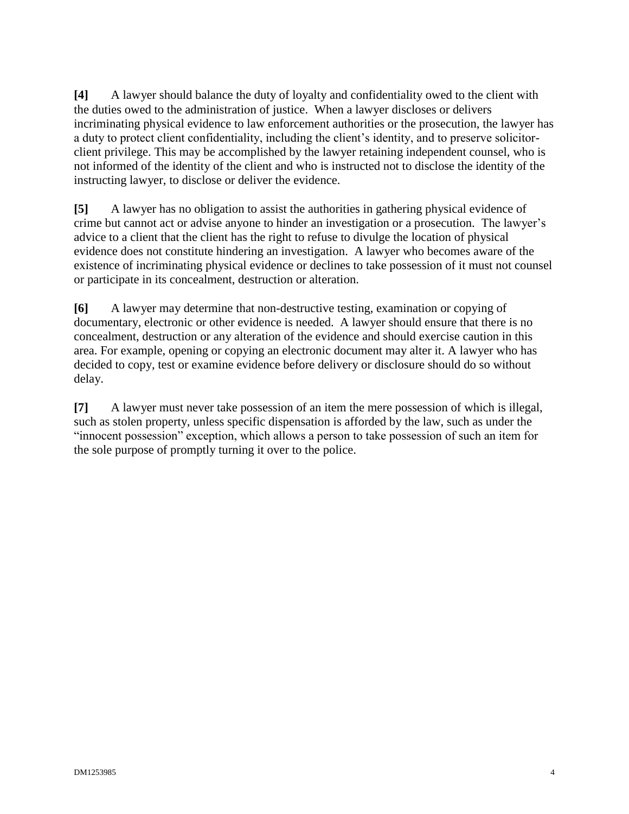**[4]** A lawyer should balance the duty of loyalty and confidentiality owed to the client with the duties owed to the administration of justice. When a lawyer discloses or delivers incriminating physical evidence to law enforcement authorities or the prosecution, the lawyer has a duty to protect client confidentiality, including the client's identity, and to preserve solicitorclient privilege. This may be accomplished by the lawyer retaining independent counsel, who is not informed of the identity of the client and who is instructed not to disclose the identity of the instructing lawyer, to disclose or deliver the evidence.

**[5]** A lawyer has no obligation to assist the authorities in gathering physical evidence of crime but cannot act or advise anyone to hinder an investigation or a prosecution. The lawyer's advice to a client that the client has the right to refuse to divulge the location of physical evidence does not constitute hindering an investigation. A lawyer who becomes aware of the existence of incriminating physical evidence or declines to take possession of it must not counsel or participate in its concealment, destruction or alteration.

**[6]** A lawyer may determine that non-destructive testing, examination or copying of documentary, electronic or other evidence is needed. A lawyer should ensure that there is no concealment, destruction or any alteration of the evidence and should exercise caution in this area. For example, opening or copying an electronic document may alter it. A lawyer who has decided to copy, test or examine evidence before delivery or disclosure should do so without delay.

**[7]** A lawyer must never take possession of an item the mere possession of which is illegal, such as stolen property, unless specific dispensation is afforded by the law, such as under the "innocent possession" exception, which allows a person to take possession of such an item for the sole purpose of promptly turning it over to the police.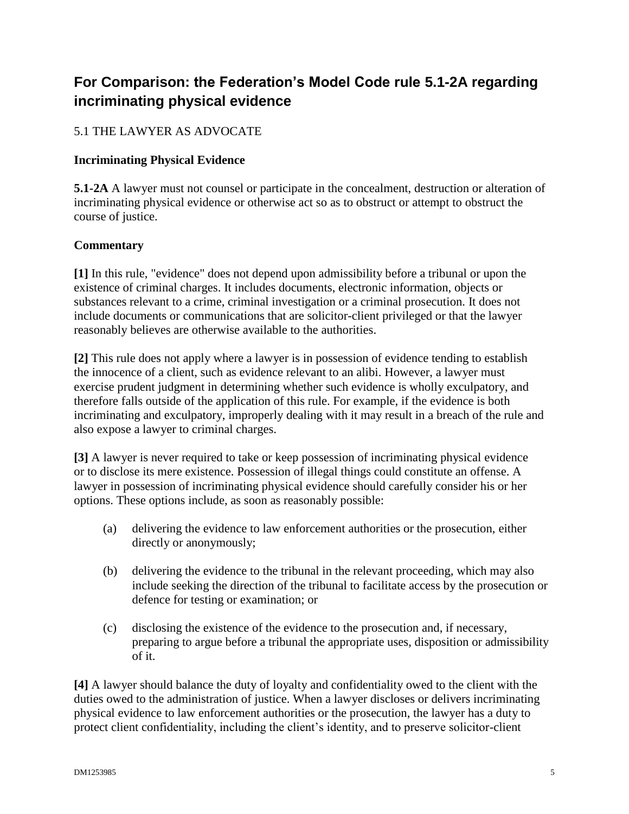# **For Comparison: the Federation's Model Code rule 5.1-2A regarding incriminating physical evidence**

## 5.1 THE LAWYER AS ADVOCATE

#### **Incriminating Physical Evidence**

**5.1-2A** A lawyer must not counsel or participate in the concealment, destruction or alteration of incriminating physical evidence or otherwise act so as to obstruct or attempt to obstruct the course of justice.

#### **Commentary**

**[1]** In this rule, "evidence" does not depend upon admissibility before a tribunal or upon the existence of criminal charges. It includes documents, electronic information, objects or substances relevant to a crime, criminal investigation or a criminal prosecution. It does not include documents or communications that are solicitor-client privileged or that the lawyer reasonably believes are otherwise available to the authorities.

**[2]** This rule does not apply where a lawyer is in possession of evidence tending to establish the innocence of a client, such as evidence relevant to an alibi. However, a lawyer must exercise prudent judgment in determining whether such evidence is wholly exculpatory, and therefore falls outside of the application of this rule. For example, if the evidence is both incriminating and exculpatory, improperly dealing with it may result in a breach of the rule and also expose a lawyer to criminal charges.

**[3]** A lawyer is never required to take or keep possession of incriminating physical evidence or to disclose its mere existence. Possession of illegal things could constitute an offense. A lawyer in possession of incriminating physical evidence should carefully consider his or her options. These options include, as soon as reasonably possible:

- (a) delivering the evidence to law enforcement authorities or the prosecution, either directly or anonymously;
- (b) delivering the evidence to the tribunal in the relevant proceeding, which may also include seeking the direction of the tribunal to facilitate access by the prosecution or defence for testing or examination; or
- (c) disclosing the existence of the evidence to the prosecution and, if necessary, preparing to argue before a tribunal the appropriate uses, disposition or admissibility of it.

**[4]** A lawyer should balance the duty of loyalty and confidentiality owed to the client with the duties owed to the administration of justice. When a lawyer discloses or delivers incriminating physical evidence to law enforcement authorities or the prosecution, the lawyer has a duty to protect client confidentiality, including the client's identity, and to preserve solicitor-client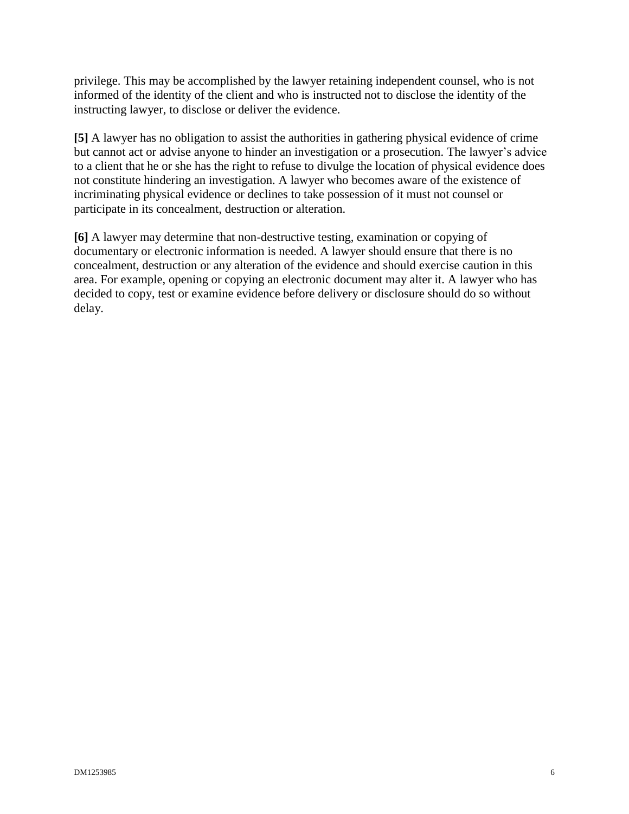privilege. This may be accomplished by the lawyer retaining independent counsel, who is not informed of the identity of the client and who is instructed not to disclose the identity of the instructing lawyer, to disclose or deliver the evidence.

**[5]** A lawyer has no obligation to assist the authorities in gathering physical evidence of crime but cannot act or advise anyone to hinder an investigation or a prosecution. The lawyer's advice to a client that he or she has the right to refuse to divulge the location of physical evidence does not constitute hindering an investigation. A lawyer who becomes aware of the existence of incriminating physical evidence or declines to take possession of it must not counsel or participate in its concealment, destruction or alteration.

**[6]** A lawyer may determine that non-destructive testing, examination or copying of documentary or electronic information is needed. A lawyer should ensure that there is no concealment, destruction or any alteration of the evidence and should exercise caution in this area. For example, opening or copying an electronic document may alter it. A lawyer who has decided to copy, test or examine evidence before delivery or disclosure should do so without delay.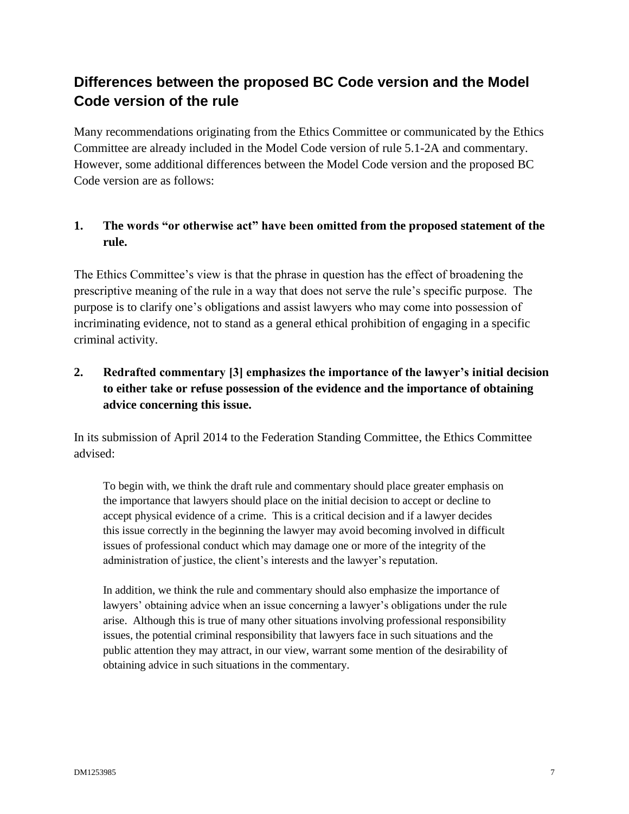# **Differences between the proposed BC Code version and the Model Code version of the rule**

Many recommendations originating from the Ethics Committee or communicated by the Ethics Committee are already included in the Model Code version of rule 5.1-2A and commentary. However, some additional differences between the Model Code version and the proposed BC Code version are as follows:

## **1. The words "or otherwise act" have been omitted from the proposed statement of the rule.**

The Ethics Committee's view is that the phrase in question has the effect of broadening the prescriptive meaning of the rule in a way that does not serve the rule's specific purpose. The purpose is to clarify one's obligations and assist lawyers who may come into possession of incriminating evidence, not to stand as a general ethical prohibition of engaging in a specific criminal activity.

## **2. Redrafted commentary [3] emphasizes the importance of the lawyer's initial decision to either take or refuse possession of the evidence and the importance of obtaining advice concerning this issue.**

In its submission of April 2014 to the Federation Standing Committee, the Ethics Committee advised:

To begin with, we think the draft rule and commentary should place greater emphasis on the importance that lawyers should place on the initial decision to accept or decline to accept physical evidence of a crime. This is a critical decision and if a lawyer decides this issue correctly in the beginning the lawyer may avoid becoming involved in difficult issues of professional conduct which may damage one or more of the integrity of the administration of justice, the client's interests and the lawyer's reputation.

In addition, we think the rule and commentary should also emphasize the importance of lawyers' obtaining advice when an issue concerning a lawyer's obligations under the rule arise. Although this is true of many other situations involving professional responsibility issues, the potential criminal responsibility that lawyers face in such situations and the public attention they may attract, in our view, warrant some mention of the desirability of obtaining advice in such situations in the commentary.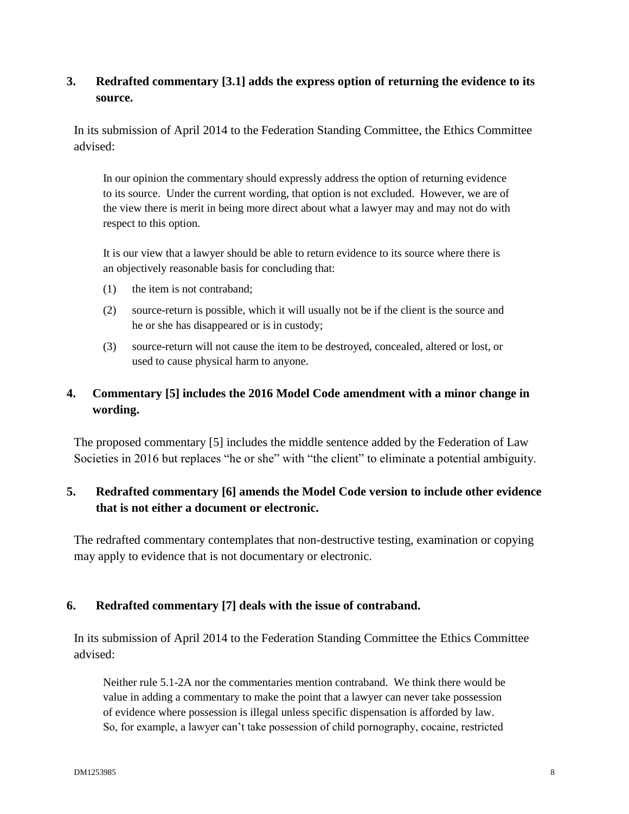#### **3. Redrafted commentary [3.1] adds the express option of returning the evidence to its source.**

In its submission of April 2014 to the Federation Standing Committee, the Ethics Committee advised:

In our opinion the commentary should expressly address the option of returning evidence to its source. Under the current wording, that option is not excluded. However, we are of the view there is merit in being more direct about what a lawyer may and may not do with respect to this option.

It is our view that a lawyer should be able to return evidence to its source where there is an objectively reasonable basis for concluding that:

- (1) the item is not contraband;
- (2) source-return is possible, which it will usually not be if the client is the source and he or she has disappeared or is in custody;
- (3) source-return will not cause the item to be destroyed, concealed, altered or lost, or used to cause physical harm to anyone.

## **4. Commentary [5] includes the 2016 Model Code amendment with a minor change in wording.**

The proposed commentary [5] includes the middle sentence added by the Federation of Law Societies in 2016 but replaces "he or she" with "the client" to eliminate a potential ambiguity.

## **5. Redrafted commentary [6] amends the Model Code version to include other evidence that is not either a document or electronic.**

The redrafted commentary contemplates that non-destructive testing, examination or copying may apply to evidence that is not documentary or electronic.

#### **6. Redrafted commentary [7] deals with the issue of contraband.**

In its submission of April 2014 to the Federation Standing Committee the Ethics Committee advised:

Neither rule 5.1-2A nor the commentaries mention contraband. We think there would be value in adding a commentary to make the point that a lawyer can never take possession of evidence where possession is illegal unless specific dispensation is afforded by law. So, for example, a lawyer can't take possession of child pornography, cocaine, restricted